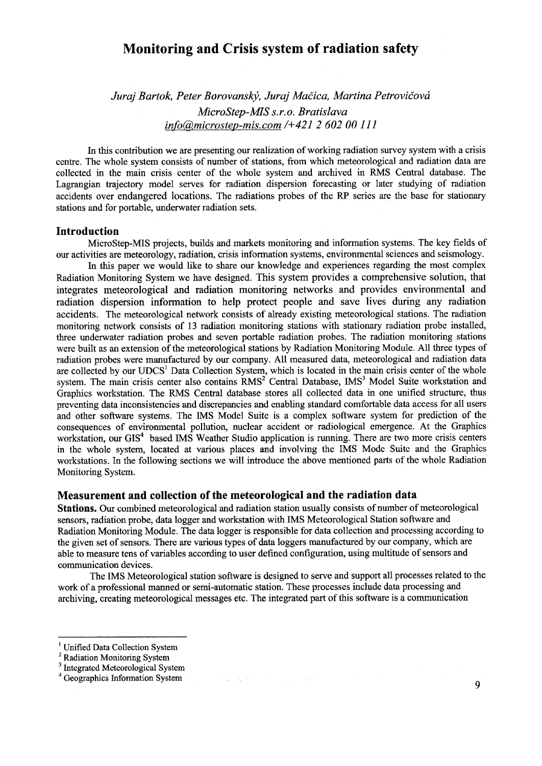# **Monitoring and Crisis system of radiation safety**

*Juraj Bartok, Peter Borovanský, Juraj Mačica, Martina Petrovičová MicroStep-MISs.r.o. Bratislava info&,microstep-mis.com /+421 2 602 00 111* 

In this contribution we are presenting our realization of working radiation survey system with a crisis centre. The whole system consists of number of stations, from which meteorological and radiation data are collected in the main crisis center of the whole system and archived in RMS Central database. The Lagrangian trajectory model serves for radiation dispersion forecasting or later studying of radiation accidents over endangered locations. The radiations probes of the RP series are the base for stationary stations and for portable, underwater radiation sets.

## **Introduction**

MicroStep-MIS projects, builds and markets monitoring and information systems. The key fields of our activities are meteorology, radiation, crisis information systems, environmental sciences and seismology.

In this paper we would like to share our knowledge and experiences regarding the most complex Radiation Monitoring System we have designed. This system provides a comprehensive solution, that integrates meteorological and radiation monitoring networks and provides environmental and radiation dispersion information to help protect people and save lives during any radiation accidents. The meteorological network consists of already existing meteorological stations. The radiation monitoring network consists of 13 radiation monitoring stations with stationary radiation probe installed, three underwater radiation probes and seven portable radiation probes. The radiation monitoring stations were built as an extension of the meteorological stations by Radiation Monitoring Module. All three types of radiation probes were manufactured by our company. All measured data, meteorological and radiation data adiation process were manufactured by our company. The measured data, meteorological and radiation data<br>are collected by our UDCS<sup>1</sup> Data Collection System, which is located in the main crisis center of the whole system. The main crisis center also contains RMS<sup>2</sup> Central Database, IMS<sup>3</sup> Model Suite workstation and Graphics workstation. The RMS Central database stores all collected data in one unified structure, thus preventing data inconsistencies and discrepancies and enabling standard comfortable data access for all users and other software systems. The IMS Model Suite is a complex software system for prediction of the consequences of environmental pollution, nuclear accident or radiological emergence. At the Graphics workstation, our GIS<sup>4</sup> based IMS Weather Studio application is running. There are two more crisis centers in the whole system, located at various places and involving the IMS Mode Suite and the Graphics workstations. In the following sections we will introduce the above mentioned parts of the whole Radiation Monitoring System.

#### **Measurement and collection of the meteorological and the radiation data**

**Stations.** Our combined meteorological and radiation station usually consists of number of meteorological sensors, radiation probe, data logger and workstation with IMS Meteorological Station software and Radiation Monitoring Module. The data logger is responsible for data collection and processing according to the given set of sensors. There are various types of data loggers manufactured by our company, which are able to measure tens of variables according to user defined configuration, using multitude of sensors and communication devices.

The IMS Meteorological station software is designed to serve and support all processes related to the work of a professional manned or semi-automatic station. These processes include data processing and archiving, creating meteorological messages etc. The integrated part of this software is a communication

 $\mathbf{Q}$ 

<sup>&</sup>lt;sup>1</sup> Unified Data Collection System

<sup>&</sup>lt;sup>2</sup> Radiation Monitoring System

<sup>&</sup>lt;sup>3</sup> Integrated Meteorological System

<sup>4</sup> Geographies Information System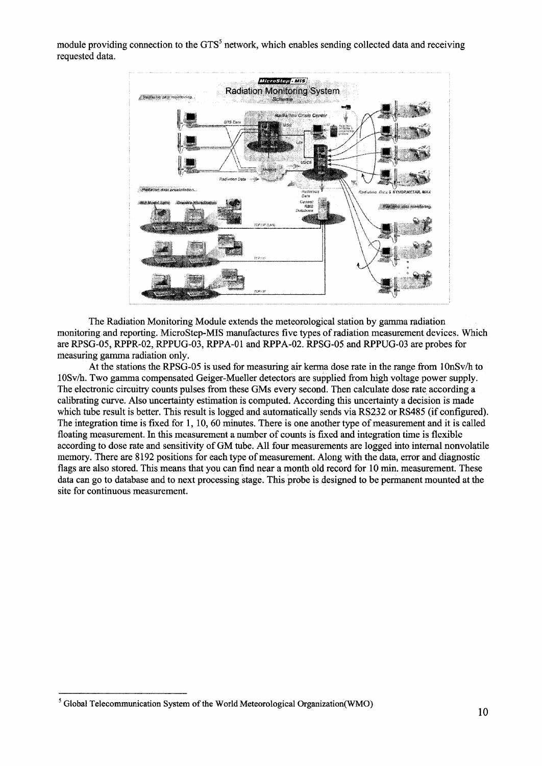module providing connection to the GTS<sup>5</sup> network, which enables sending collected data and receiving requested data.



The Radiation Monitoring Module extends the meteorological station by gamma radiation monitoring and reporting. MicroStep-MIS manufactures five types of radiation measurement devices. Which are RPSG-05, RPPR-02, RPPUG-03, RPPA-01 and RPPA-02. RPSG-05 and RPPUG-03 are probes for measuring gamma radiation only.

At the stations the RPSG-05 is used for measuring air kerma dose rate in the range from 10nSv/h to 10Sv/h. Two gamma compensated Geiger-Mueller detectors are supplied from high voltage power supply. The electronic circuitry counts pulses from these GMs every second. Then calculate dose rate according a calibrating curve. Also uncertainty estimation is computed. According this uncertainty a decision is made which tube result is better. This result is logged and automatically sends via RS232 or RS485 (if configured). The integration time is fixed for 1,10, 60 minutes. There is one another type of measurement and it is called floating measurement. In this measurement a number of counts is fixed and integration time is flexible according to dose rate and sensitivity of GM tube. All four measurements are logged into internal nonvolatile memory. There are 8192 positions for each type of measurement. Along with the data, error and diagnostic flags are also stored. This means that you can find near a month old record for 10 min. measurement. These data can go to database and to next processing stage. This probe is designed to be permanent mounted at the site for continuous measurement.

 $<sup>5</sup>$  Global Telecommunication System of the World Meteorological Organization(WMO)</sup>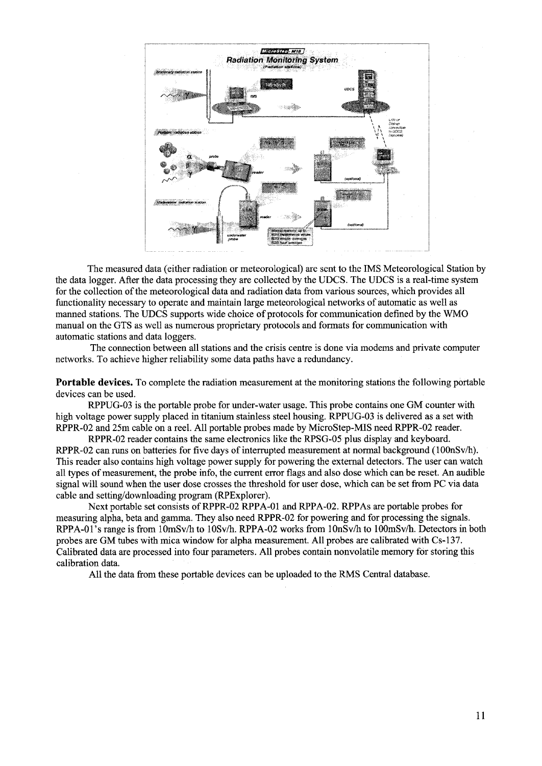

The measured data (either radiation or meteorological) are sent to the IMS Meteorological Station by the data logger. After the data processing they are collected by the UDCS. The UDCS is a real-time system for the collection of the meteorological data and radiation data from various sources, which provides all functionality necessary to operate and maintain large meteorological networks of automatic as well as manned stations. The UDCS supports wide choice of protocols for communication defined by the WMO manual on the GTS as well as numerous proprietary protocols and formats for communication with automatic stations and data loggers.

The connection between all stations and the crisis centre is done via modems and private computer networks. To achieve higher reliability some data paths have a redundancy.

Portable devices. To complete the radiation measurement at the monitoring stations the following portable devices can be used.

RPPUG-03 is the portable probe for under-water usage. This probe contains one GM counter with high voltage power supply placed in titanium stainless steel housing. RPPUG-03 is delivered as a set with RPPR-02 and 25m cable on a reel. All portable probes made by MicroStep-MIS need RPPR-02 reader.

RPPR-02 reader contains the same electronics like the RPSG-05 plus display and keyboard. RPPR-02 can runs on batteries for five days of interrupted measurement at normal background (100nSv/h). This reader also contains high voltage power supply for powering the external detectors. The user can watch all types of measurement, the probe info, the current error flags and also dose which can be reset. An audible signal will sound when the user dose crosses the threshold for user dose, which can be set from PC via data cable and setting/downloading program (RPExplorer).

Next portable set consists of RPPR-02 RPPA-01 and RPPA-02. RPPAs are portable probes for measuring alpha, beta and gamma. They also need RPPR-02 for powering and for processing the signals. RPPA-01's range is from 10mSv/h to 10Sv/h. RPPA-02 works from 10nSv/h to 100mSv/h. Detectors in both probes are GM tubes with mica window for alpha measurement. All probes are calibrated with Cs-137. Calibrated data are processed into four parameters. All probes contain nonvolatile memory for storing this calibration data.

All the data from these portable devices can be uploaded to the RMS Central database.